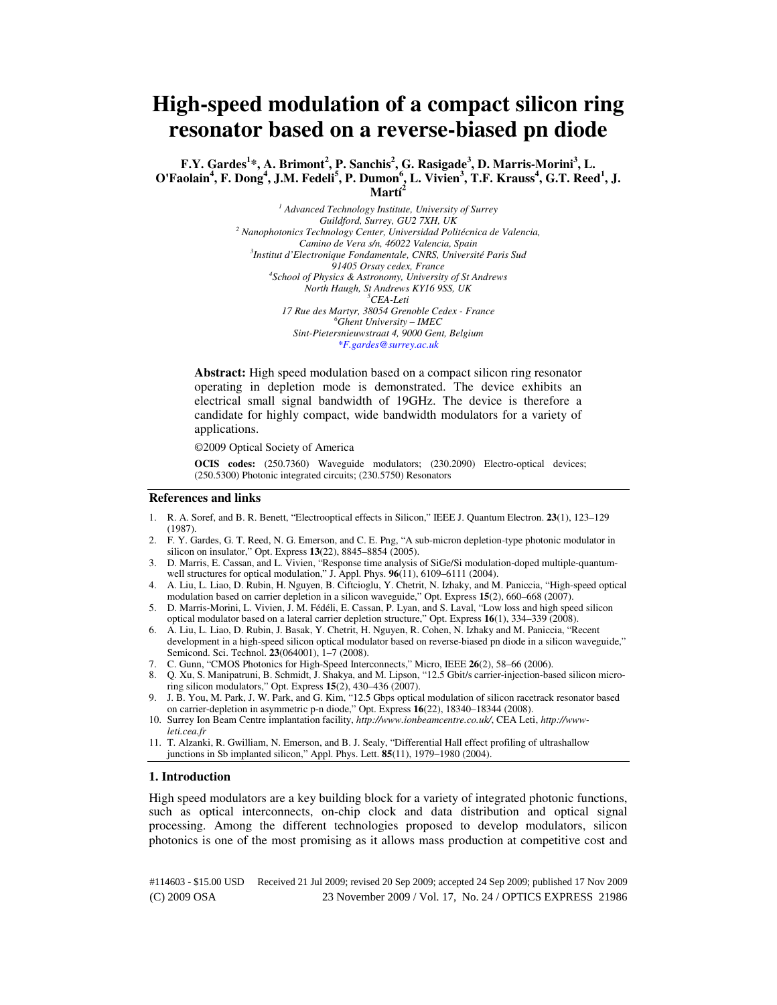# **High-speed modulation of a compact silicon ring resonator based on a reverse-biased pn diode**

**F.Y. Gardes<sup>1</sup> \*, A. Brimont<sup>2</sup> , P. Sanchis<sup>2</sup> , G. Rasigade<sup>3</sup> , D. Marris-Morini<sup>3</sup> , L. O'Faolain<sup>4</sup> , F. Dong<sup>4</sup> , J.M. Fedeli<sup>5</sup> , P. Dumon<sup>6</sup> , L. Vivien<sup>3</sup> , T.F. Krauss<sup>4</sup> , G.T. Reed<sup>1</sup> , J. Martí<sup>2</sup>**

> *1 Advanced Technology Institute, University of Surrey Guildford, Surrey, GU2 7XH, UK 2 Nanophotonics Technology Center, Universidad Politécnica de Valencia, Camino de Vera s/n, 46022 Valencia, Spain 3 Institut d'Electronique Fondamentale, CNRS, Université Paris Sud 91405 Orsay cedex, France 4 School of Physics & Astronomy, University of St Andrews North Haugh, St Andrews KY16 9SS, UK <sup>5</sup>CEA-Leti 17 Rue des Martyr, 38054 Grenoble Cedex - France <sup>6</sup>Ghent University – IMEC Sint-Pietersnieuwstraat 4, 9000 Gent, Belgium \*F.gardes@surrey.ac.uk*

**Abstract:** High speed modulation based on a compact silicon ring resonator operating in depletion mode is demonstrated. The device exhibits an electrical small signal bandwidth of 19GHz. The device is therefore a candidate for highly compact, wide bandwidth modulators for a variety of applications.

©2009 Optical Society of America

**OCIS codes:** (250.7360) Waveguide modulators; (230.2090) Electro-optical devices; (250.5300) Photonic integrated circuits; (230.5750) Resonators

#### **References and links**

- 1. R. A. Soref, and B. R. Benett, "Electrooptical effects in Silicon," IEEE J. Quantum Electron. **23**(1), 123–129 (1987).
- 2. F. Y. Gardes, G. T. Reed, N. G. Emerson, and C. E. Png, "A sub-micron depletion-type photonic modulator in silicon on insulator," Opt. Express **13**(22), 8845–8854 (2005).
- 3. D. Marris, E. Cassan, and L. Vivien, "Response time analysis of SiGe/Si modulation-doped multiple-quantumwell structures for optical modulation," J. Appl. Phys. **96**(11), 6109–6111 (2004).
- 4. A. Liu, L. Liao, D. Rubin, H. Nguyen, B. Ciftcioglu, Y. Chetrit, N. Izhaky, and M. Paniccia, "High-speed optical modulation based on carrier depletion in a silicon waveguide," Opt. Express **15**(2), 660–668 (2007).
- 5. D. Marris-Morini, L. Vivien, J. M. Fédéli, E. Cassan, P. Lyan, and S. Laval, "Low loss and high speed silicon optical modulator based on a lateral carrier depletion structure," Opt. Express **16**(1), 334–339 (2008).
- 6. A. Liu, L. Liao, D. Rubin, J. Basak, Y. Chetrit, H. Nguyen, R. Cohen, N. Izhaky and M. Paniccia, "Recent development in a high-speed silicon optical modulator based on reverse-biased pn diode in a silicon waveguide," Semicond. Sci. Technol. **23**(064001), 1–7 (2008).
- 7. C. Gunn, "CMOS Photonics for High-Speed Interconnects," Micro, IEEE **26**(2), 58–66 (2006).
- 8. Q. Xu, S. Manipatruni, B. Schmidt, J. Shakya, and M. Lipson, "12.5 Gbit/s carrier-injection-based silicon microring silicon modulators," Opt. Express **15**(2), 430–436 (2007).
- 9. J. B. You, M. Park, J. W. Park, and G. Kim, "12.5 Gbps optical modulation of silicon racetrack resonator based on carrier-depletion in asymmetric p-n diode," Opt. Express **16**(22), 18340–18344 (2008).
- 10. Surrey Ion Beam Centre implantation facility, *http://www.ionbeamcentre.co.uk/*, CEA Leti, *http://wwwleti.cea.fr*
- 11. T. Alzanki, R. Gwilliam, N. Emerson, and B. J. Sealy, "Differential Hall effect profiling of ultrashallow junctions in Sb implanted silicon," Appl. Phys. Lett. **85**(11), 1979–1980 (2004).

#### **1. Introduction**

High speed modulators are a key building block for a variety of integrated photonic functions, such as optical interconnects, on-chip clock and data distribution and optical signal processing. Among the different technologies proposed to develop modulators, silicon photonics is one of the most promising as it allows mass production at competitive cost and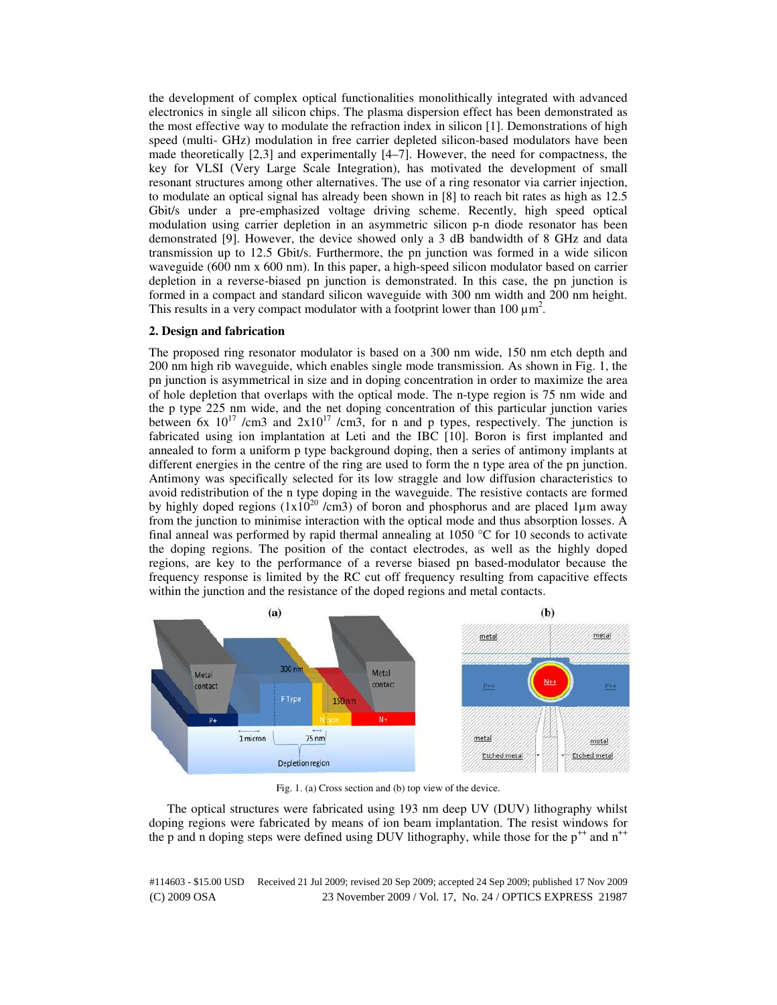the development of complex optical functionalities monolithically integrated with advanced electronics in single all silicon chips. The plasma dispersion effect has been demonstrated as the most effective way to modulate the refraction index in silicon [1]. Demonstrations of high speed (multi- GHz) modulation in free carrier depleted silicon-based modulators have been made theoretically  $[2,3]$  and experimentally  $[4-7]$ . However, the need for compactness, the key for VLSI (Very Large Scale Integration), has motivated the development of small resonant structures among other alternatives. The use of a ring resonator via carrier injection, to modulate an optical signal has already been shown in [8] to reach bit rates as high as 12.5 Gbit/s under a pre-emphasized voltage driving scheme. Recently, high speed optical modulation using carrier depletion in an asymmetric silicon p-n diode resonator has been demonstrated [9]. However, the device showed only a 3 dB bandwidth of 8 GHz and data transmission up to 12.5 Gbit/s. Furthermore, the pn junction was formed in a wide silicon waveguide (600 nm x 600 nm). In this paper, a high-speed silicon modulator based on carrier depletion in a reverse-biased pn junction is demonstrated. In this case, the pn junction is formed in a compact and standard silicon waveguide with 300 nm width and 200 nm height. This results in a very compact modulator with a footprint lower than  $100 \mu m^2$ .

## **2. Design and fabrication**

The proposed ring resonator modulator is based on a 300 nm wide, 150 nm etch depth and 200 nm high rib waveguide, which enables single mode transmission. As shown in Fig. 1, the pn junction is asymmetrical in size and in doping concentration in order to maximize the area of hole depletion that overlaps with the optical mode. The n-type region is 75 nm wide and the p type 225 nm wide, and the net doping concentration of this particular junction varies between 6x  $10^{17}$  /cm3 and  $2x10^{17}$  /cm3, for n and p types, respectively. The junction is fabricated using ion implantation at Leti and the IBC [10]. Boron is first implanted and annealed to form a uniform p type background doping, then a series of antimony implants at different energies in the centre of the ring are used to form the n type area of the pn junction. Antimony was specifically selected for its low straggle and low diffusion characteristics to avoid redistribution of the n type doping in the waveguide. The resistive contacts are formed by highly doped regions  $(1x10^{20} / \text{cm}^3)$  of boron and phosphorus and are placed 1µm away from the junction to minimise interaction with the optical mode and thus absorption losses. A final anneal was performed by rapid thermal annealing at 1050 °C for 10 seconds to activate the doping regions. The position of the contact electrodes, as well as the highly doped regions, are key to the performance of a reverse biased pn based-modulator because the frequency response is limited by the RC cut off frequency resulting from capacitive effects within the junction and the resistance of the doped regions and metal contacts.



Fig. 1. (a) Cross section and (b) top view of the device.

The optical structures were fabricated using 193 nm deep UV (DUV) lithography whilst doping regions were fabricated by means of ion beam implantation. The resist windows for the p and n doping steps were defined using DUV lithography, while those for the  $p^{++}$  and  $n^{++}$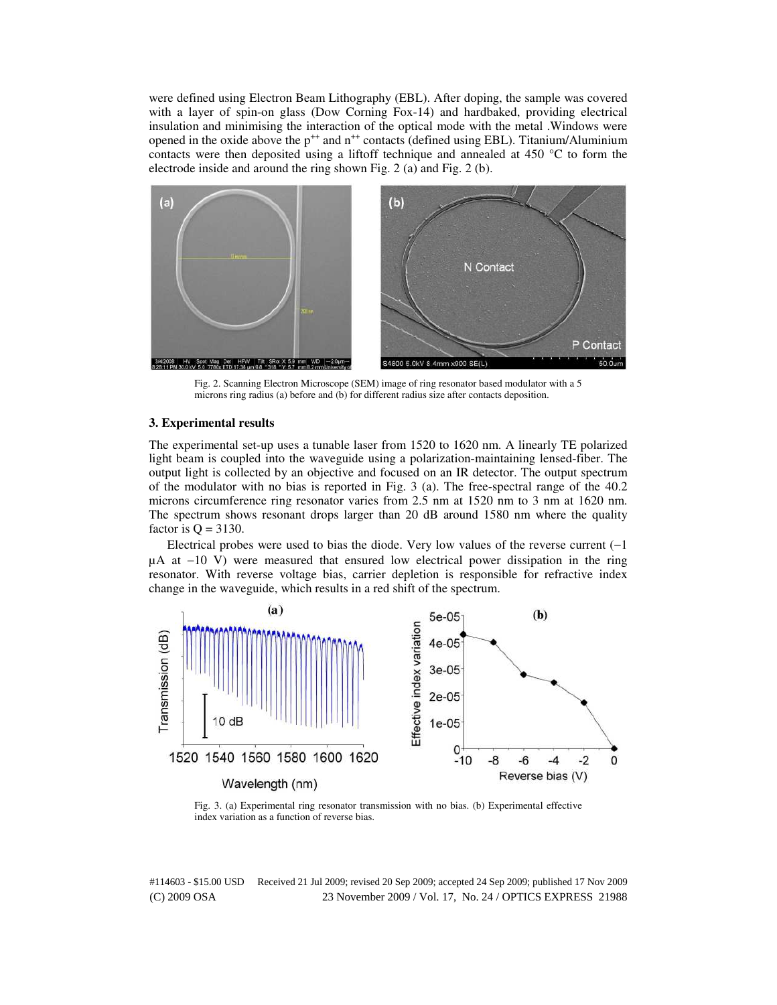were defined using Electron Beam Lithography (EBL). After doping, the sample was covered with a layer of spin-on glass (Dow Corning Fox-14) and hardbaked, providing electrical insulation and minimising the interaction of the optical mode with the metal .Windows were opened in the oxide above the  $p^{++}$  and  $n^{++}$  contacts (defined using EBL). Titanium/Aluminium contacts were then deposited using a liftoff technique and annealed at 450  $^{\circ}$ C to form the electrode inside and around the ring shown Fig. 2 (a) and Fig. 2 (b).



Fig. 2. Scanning Electron Microscope (SEM) image of ring resonator based modulator with a 5 microns ring radius (a) before and (b) for different radius size after contacts deposition.

#### **3. Experimental results**

The experimental set-up uses a tunable laser from 1520 to 1620 nm. A linearly TE polarized light beam is coupled into the waveguide using a polarization-maintaining lensed-fiber. The output light is collected by an objective and focused on an IR detector. The output spectrum of the modulator with no bias is reported in Fig. 3 (a). The free-spectral range of the 40.2 microns circumference ring resonator varies from 2.5 nm at 1520 nm to 3 nm at 1620 nm. The spectrum shows resonant drops larger than 20 dB around 1580 nm where the quality factor is  $Q = 3130$ .

Electrical probes were used to bias the diode. Very low values of the reverse current  $(-1)$ µA at −10 V) were measured that ensured low electrical power dissipation in the ring resonator. With reverse voltage bias, carrier depletion is responsible for refractive index change in the waveguide, which results in a red shift of the spectrum.



Fig. 3. (a) Experimental ring resonator transmission with no bias. (b) Experimental effective index variation as a function of reverse bias.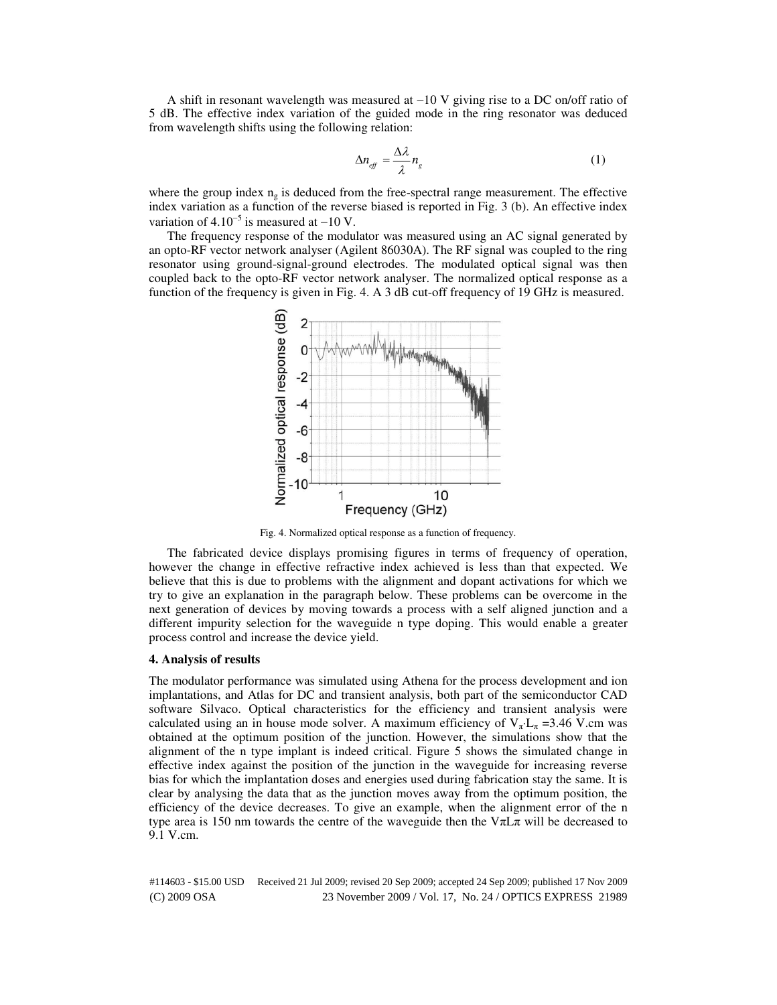A shift in resonant wavelength was measured at −10 V giving rise to a DC on/off ratio of 5 dB. The effective index variation of the guided mode in the ring resonator was deduced from wavelength shifts using the following relation:

$$
\Delta n_{\text{eff}} = \frac{\Delta \lambda}{\lambda} n_{\text{s}} \tag{1}
$$

where the group index  $n_g$  is deduced from the free-spectral range measurement. The effective index variation as a function of the reverse biased is reported in Fig. 3 (b). An effective index variation of  $4.10^{-5}$  is measured at  $-10$  V.

The frequency response of the modulator was measured using an AC signal generated by an opto-RF vector network analyser (Agilent 86030A). The RF signal was coupled to the ring resonator using ground-signal-ground electrodes. The modulated optical signal was then coupled back to the opto-RF vector network analyser. The normalized optical response as a function of the frequency is given in Fig. 4. A 3 dB cut-off frequency of 19 GHz is measured.



Fig. 4. Normalized optical response as a function of frequency.

The fabricated device displays promising figures in terms of frequency of operation, however the change in effective refractive index achieved is less than that expected. We believe that this is due to problems with the alignment and dopant activations for which we try to give an explanation in the paragraph below. These problems can be overcome in the next generation of devices by moving towards a process with a self aligned junction and a different impurity selection for the waveguide n type doping. This would enable a greater process control and increase the device yield.

#### **4. Analysis of results**

The modulator performance was simulated using Athena for the process development and ion implantations, and Atlas for DC and transient analysis, both part of the semiconductor CAD software Silvaco. Optical characteristics for the efficiency and transient analysis were calculated using an in house mode solver. A maximum efficiency of  $V_{\pi}L_{\pi} = 3.46$  V.cm was obtained at the optimum position of the junction. However, the simulations show that the alignment of the n type implant is indeed critical. Figure 5 shows the simulated change in effective index against the position of the junction in the waveguide for increasing reverse bias for which the implantation doses and energies used during fabrication stay the same. It is clear by analysing the data that as the junction moves away from the optimum position, the efficiency of the device decreases. To give an example, when the alignment error of the n type area is 150 nm towards the centre of the waveguide then the  $V\pi L\pi$  will be decreased to 9.1 V.cm.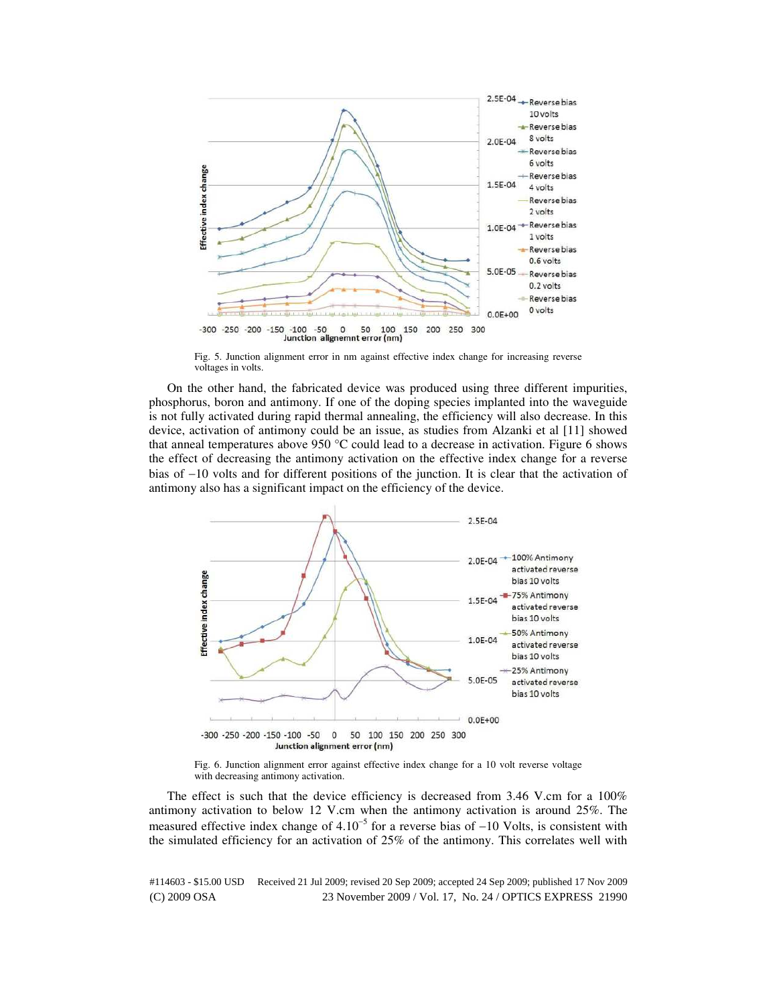

Fig. 5. Junction alignment error in nm against effective index change for increasing reverse voltages in volts.

On the other hand, the fabricated device was produced using three different impurities, phosphorus, boron and antimony. If one of the doping species implanted into the waveguide is not fully activated during rapid thermal annealing, the efficiency will also decrease. In this device, activation of antimony could be an issue, as studies from Alzanki et al [11] showed that anneal temperatures above 950 °C could lead to a decrease in activation. Figure 6 shows the effect of decreasing the antimony activation on the effective index change for a reverse bias of −10 volts and for different positions of the junction. It is clear that the activation of antimony also has a significant impact on the efficiency of the device.



Fig. 6. Junction alignment error against effective index change for a 10 volt reverse voltage with decreasing antimony activation.

The effect is such that the device efficiency is decreased from 3.46 V.cm for a 100% antimony activation to below 12 V.cm when the antimony activation is around 25%. The measured effective index change of 4.10<sup>-5</sup> for a reverse bias of -10 Volts, is consistent with the simulated efficiency for an activation of 25% of the antimony. This correlates well with